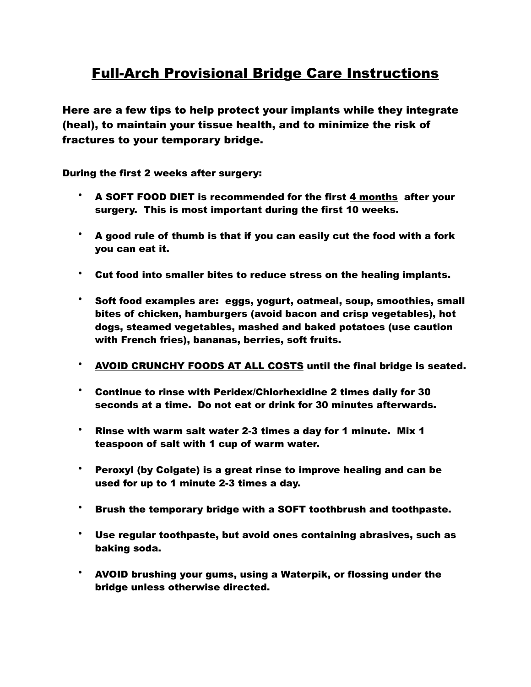## Full-Arch Provisional Bridge Care Instructions

Here are a few tips to help protect your implants while they integrate (heal), to maintain your tissue health, and to minimize the risk of fractures to your temporary bridge.

## During the first 2 weeks after surgery:

- A SOFT FOOD DIET is recommended for the first 4 months after your surgery. This is most important during the first 10 weeks.
- A good rule of thumb is that if you can easily cut the food with a fork you can eat it.
- Cut food into smaller bites to reduce stress on the healing implants.
- Soft food examples are: eggs, yogurt, oatmeal, soup, smoothies, small bites of chicken, hamburgers (avoid bacon and crisp vegetables), hot dogs, steamed vegetables, mashed and baked potatoes (use caution with French fries), bananas, berries, soft fruits.
- AVOID CRUNCHY FOODS AT ALL COSTS until the final bridge is seated.
- Continue to rinse with Peridex/Chlorhexidine 2 times daily for 30 seconds at a time. Do not eat or drink for 30 minutes afterwards.
- Rinse with warm salt water 2-3 times a day for 1 minute. Mix 1 teaspoon of salt with 1 cup of warm water.
- Peroxyl (by Colgate) is a great rinse to improve healing and can be used for up to 1 minute 2-3 times a day.
- Brush the temporary bridge with a SOFT toothbrush and toothpaste.
- Use regular toothpaste, but avoid ones containing abrasives, such as baking soda.
- AVOID brushing your gums, using a Waterpik, or flossing under the bridge unless otherwise directed.